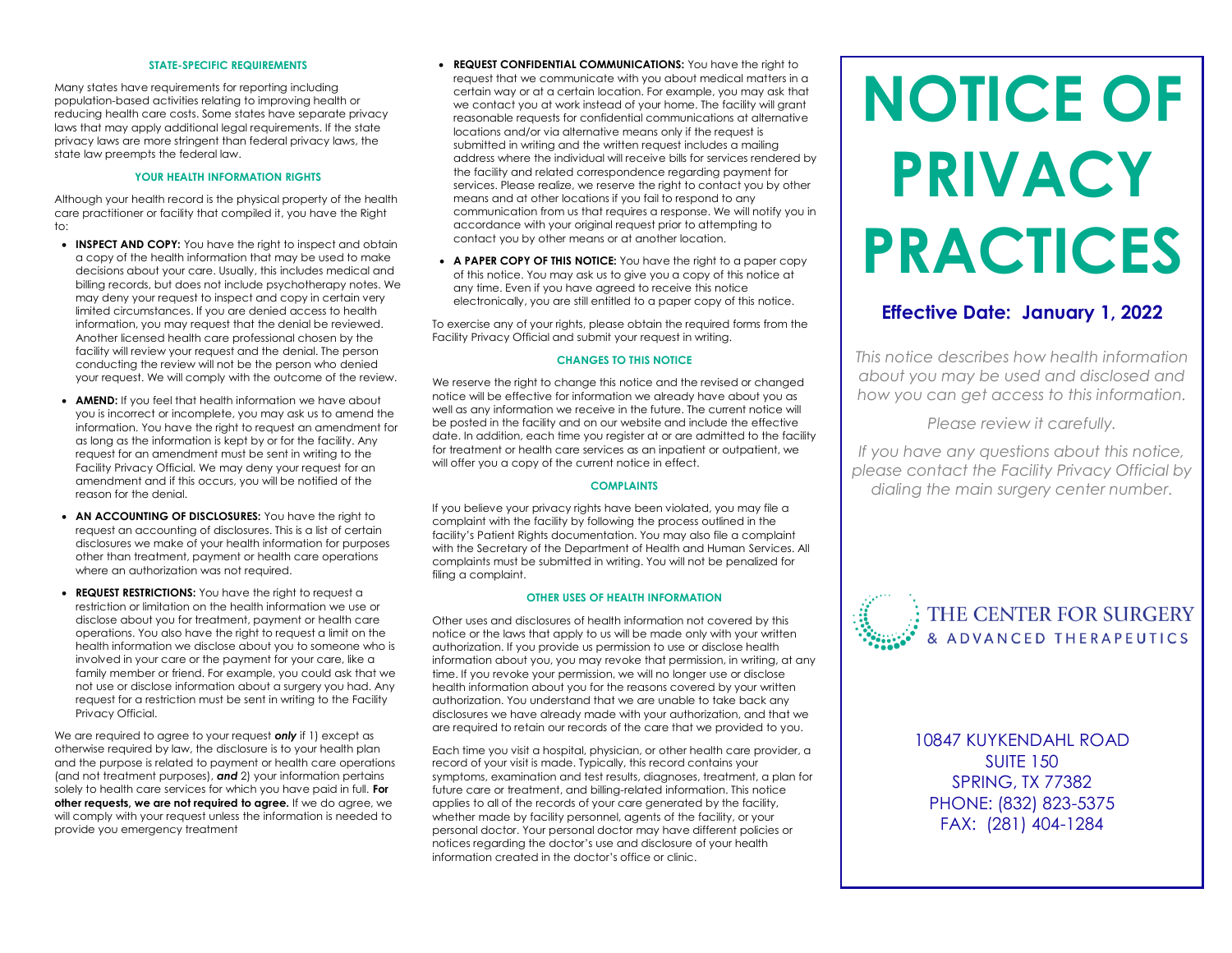# **STATE-SPECIFIC REQUIREMENTS**

Many states have requirements for reporting including population-based activities relating to improving health or reducing health care costs. Some states have separate privacy laws that may apply additional legal requirements. If the state privacy laws are more stringent than federal privacy laws, the state law preempts the federal law.

# **YOUR HEALTH INFORMATION RIGHTS**

Although your health record is the physical property of the health care practitioner or facility that compiled it, you have the Right to:

- **INSPECT AND COPY:** You have the right to inspect and obtain a copy of the health information that may be used to make decisions about your care. Usually, this includes medical and billing records, but does not include psychotherapy notes. We may deny your request to inspect and copy in certain very limited circumstances. If you are denied access to health information, you may request that the denial be reviewed. Another licensed health care professional chosen by the facility will review your request and the denial. The person conducting the review will not be the person who denied your request. We will comply with the outcome of the review.
- **AMEND:** If you feel that health information we have about you is incorrect or incomplete, you may ask us to amend the information. You have the right to request an amendment for as long as the information is kept by or for the facility. Any request for an amendment must be sent in writing to the Facility Privacy Official. We may deny your request for an amendment and if this occurs, you will be notified of the reason for the denial.
- **AN ACCOUNTING OF DISCLOSURES:** You have the right to request an accounting of disclosures. This is a list of certain disclosures we make of your health information for purposes other than treatment, payment or health care operations where an authorization was not required.
- **REQUEST RESTRICTIONS:** You have the right to request a restriction or limitation on the health information we use or disclose about you for treatment, payment or health care operations. You also have the right to request a limit on the health information we disclose about you to someone who is involved in your care or the payment for your care, like a family member or friend. For example, you could ask that we not use or disclose information about a surgery you had. Any request for a restriction must be sent in writing to the Facility Privacy Official.

We are required to agree to your request *only* if 1) except as otherwise required by law, the disclosure is to your health plan and the purpose is related to payment or health care operations (and not treatment purposes), *and* 2) your information pertains solely to health care services for which you have paid in full. **For other requests, we are not required to agree.** If we do agree, we will comply with your request unless the information is needed to provide you emergency treatment

- **REQUEST CONFIDENTIAL COMMUNICATIONS:** You have the right to request that we communicate with you about medical matters in a certain way or at a certain location. For example, you may ask that we contact you at work instead of your home. The facility will grant reasonable requests for confidential communications at alternative locations and/or via alternative means only if the request is submitted in writing and the written request includes a mailing address where the individual will receive bills for services rendered by the facility and related correspondence regarding payment for services. Please realize, we reserve the right to contact you by other means and at other locations if you fail to respond to any communication from us that requires a response. We will notify you in accordance with your original request prior to attempting to contact you by other means or at another location.
- **A PAPER COPY OF THIS NOTICE:** You have the right to a paper copy of this notice. You may ask us to give you a copy of this notice at any time. Even if you have agreed to receive this notice electronically, you are still entitled to a paper copy of this notice.

To exercise any of your rights, please obtain the required forms from the Facility Privacy Official and submit your request in writing.

# **CHANGES TO THIS NOTICE**

We reserve the right to change this notice and the revised or changed notice will be effective for information we already have about you as well as any information we receive in the future. The current notice will be posted in the facility and on our website and include the effective date. In addition, each time you register at or are admitted to the facility for treatment or health care services as an inpatient or outpatient, we will offer you a copy of the current notice in effect.

# **COMPLAINTS**

If you believe your privacy rights have been violated, you may file a complaint with the facility by following the process outlined in the facility's Patient Rights documentation. You may also file a complaint with the Secretary of the Department of Health and Human Services. All complaints must be submitted in writing. You will not be penalized for filing a complaint.

# **OTHER USES OF HEALTH INFORMATION**

Other uses and disclosures of health information not covered by this notice or the laws that apply to us will be made only with your written authorization. If you provide us permission to use or disclose health information about you, you may revoke that permission, in writing, at any time. If you revoke your permission, we will no longer use or disclose health information about you for the reasons covered by your written authorization. You understand that we are unable to take back any disclosures we have already made with your authorization, and that we are required to retain our records of the care that we provided to you.

Each time you visit a hospital, physician, or other health care provider, a record of your visit is made. Typically, this record contains your symptoms, examination and test results, diagnoses, treatment, a plan for future care or treatment, and billing-related information. This notice applies to all of the records of your care generated by the facility, whether made by facility personnel, agents of the facility, or your personal doctor. Your personal doctor may have different policies or notices regarding the doctor's use and disclosure of your health information created in the doctor's office or clinic.

# **NOTICE OF PRIVACY PRACTICES**

# **Effective Date: January 1, 2022**

*This notice describes how health information about you may be used and disclosed and how you can get access to this information.* 

*Please review it carefully.*

*If you have any questions about this notice, please contact the Facility Privacy Official by dialing the main surgery center number.*



10847 KUYKENDAHL ROAD SUITE 150 SPRING, TX 77382 PHONE: (832) 823-5375 FAX: (281) 404-1284